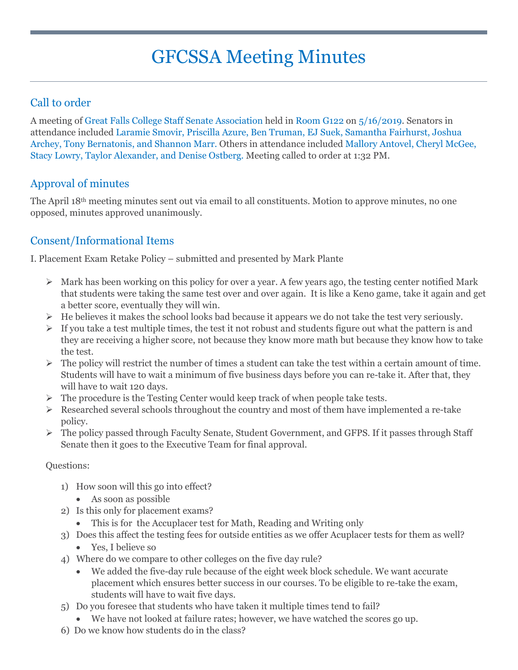# GFCSSA Meeting Minutes

### Call to order

A meeting of Great Falls College Staff Senate Association held in Room G122 on 5/16/2019. Senators in attendance included Laramie Smovir, Priscilla Azure, Ben Truman, EJ Suek, Samantha Fairhurst, Joshua Archey, Tony Bernatonis, and Shannon Marr. Others in attendance included Mallory Antovel, Cheryl McGee, Stacy Lowry, Taylor Alexander, and Denise Ostberg. Meeting called to order at 1:32 PM.

# Approval of minutes

The April 18th meeting minutes sent out via email to all constituents. Motion to approve minutes, no one opposed, minutes approved unanimously.

# Consent/Informational Items

I. Placement Exam Retake Policy – submitted and presented by Mark Plante

- $\triangleright$  Mark has been working on this policy for over a year. A few years ago, the testing center notified Mark that students were taking the same test over and over again. It is like a Keno game, take it again and get a better score, eventually they will win.
- $\triangleright$  He believes it makes the school looks bad because it appears we do not take the test very seriously.
- $\triangleright$  If you take a test multiple times, the test it not robust and students figure out what the pattern is and they are receiving a higher score, not because they know more math but because they know how to take the test.
- $\triangleright$  The policy will restrict the number of times a student can take the test within a certain amount of time. Students will have to wait a minimum of five business days before you can re-take it. After that, they will have to wait 120 days.
- $\triangleright$  The procedure is the Testing Center would keep track of when people take tests.
- $\triangleright$  Researched several schools throughout the country and most of them have implemented a re-take policy.
- The policy passed through Faculty Senate, Student Government, and GFPS. If it passes through Staff Senate then it goes to the Executive Team for final approval.

#### Questions:

- 1) How soon will this go into effect?
	- As soon as possible
- 2) Is this only for placement exams?
	- This is for the Accuplacer test for Math, Reading and Writing only
- 3) Does this affect the testing fees for outside entities as we offer Acuplacer tests for them as well?
	- Yes, I believe so
- 4) Where do we compare to other colleges on the five day rule?
	- We added the five-day rule because of the eight week block schedule. We want accurate placement which ensures better success in our courses. To be eligible to re-take the exam, students will have to wait five days.
- 5) Do you foresee that students who have taken it multiple times tend to fail?
	- We have not looked at failure rates; however, we have watched the scores go up.
- 6) Do we know how students do in the class?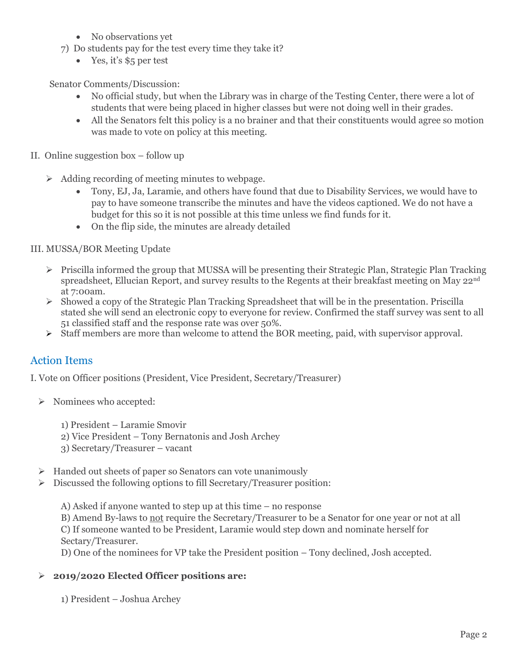- No observations yet
- 7) Do students pay for the test every time they take it?
	- Yes, it's \$5 per test

Senator Comments/Discussion:

- No official study, but when the Library was in charge of the Testing Center, there were a lot of students that were being placed in higher classes but were not doing well in their grades.
- All the Senators felt this policy is a no brainer and that their constituents would agree so motion was made to vote on policy at this meeting.
- II. Online suggestion box follow up
	- $\triangleright$  Adding recording of meeting minutes to webpage.
		- Tony, EJ, Ja, Laramie, and others have found that due to Disability Services, we would have to pay to have someone transcribe the minutes and have the videos captioned. We do not have a budget for this so it is not possible at this time unless we find funds for it.
		- On the flip side, the minutes are already detailed

III. MUSSA/BOR Meeting Update

- $\triangleright$  Priscilla informed the group that MUSSA will be presenting their Strategic Plan, Strategic Plan Tracking spreadsheet, Ellucian Report, and survey results to the Regents at their breakfast meeting on May 22nd at 7:00am.
- $\triangleright$  Showed a copy of the Strategic Plan Tracking Spreadsheet that will be in the presentation. Priscilla stated she will send an electronic copy to everyone for review. Confirmed the staff survey was sent to all 51 classified staff and the response rate was over 50%.
- Staff members are more than welcome to attend the BOR meeting, paid, with supervisor approval.

#### Action Items

I. Vote on Officer positions (President, Vice President, Secretary/Treasurer)

- $\triangleright$  Nominees who accepted:
	- 1) President Laramie Smovir
	- 2) Vice President Tony Bernatonis and Josh Archey
	- 3) Secretary/Treasurer vacant
- $\triangleright$  Handed out sheets of paper so Senators can vote unanimously
- Discussed the following options to fill Secretary/Treasurer position:

A) Asked if anyone wanted to step up at this time – no response

B) Amend By-laws to not require the Secretary/Treasurer to be a Senator for one year or not at all C) If someone wanted to be President, Laramie would step down and nominate herself for Sectary/Treasurer.

D) One of the nominees for VP take the President position – Tony declined, Josh accepted.

#### **2019/2020 Elected Officer positions are:**

1) President – Joshua Archey